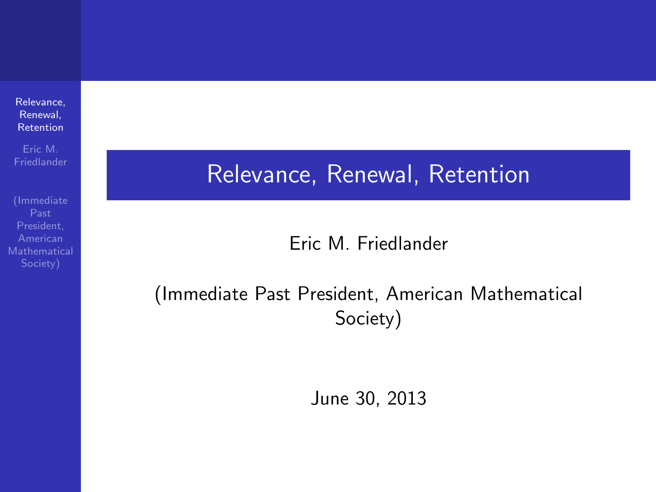[Relevance,](#page-7-0) Renewal, Retention

Eric M.

Past President,

### Relevance, Renewal, Retention

#### Eric M. Friedlander

#### <span id="page-0-0"></span>(Immediate Past President, American Mathematical Society)

June 30, 2013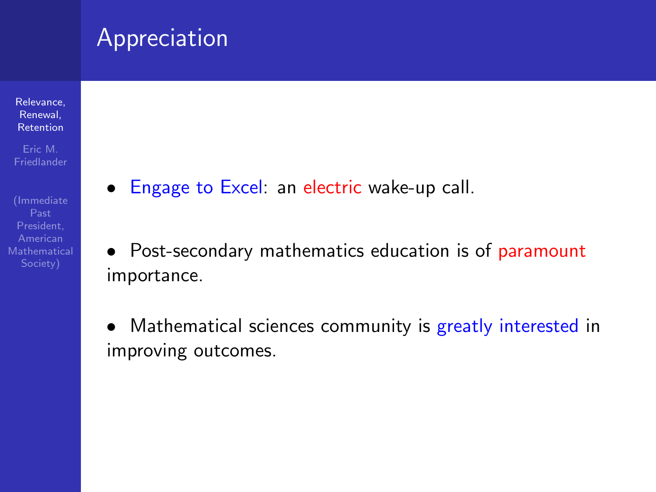#### Appreciation

[Relevance,](#page-0-0) Renewal, Retention

Eric M.

Past

- Engage to Excel: an electric wake-up call.
- Post-secondary mathematics education is of paramount importance.
- Mathematical sciences community is greatly interested in improving outcomes.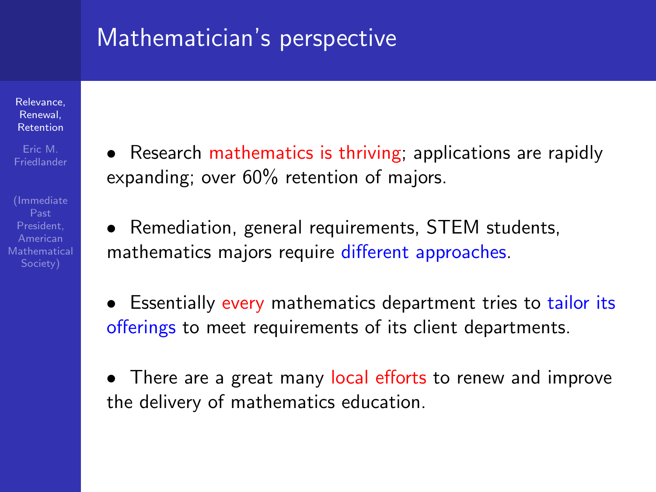## Mathematician's perspective

[Relevance,](#page-0-0) Renewal, Retention

Eric M.

**Mathematical** 

• Research mathematics is thriving; applications are rapidly expanding; over 60% retention of majors.

• Remediation, general requirements, STEM students, mathematics majors require different approaches.

- Essentially every mathematics department tries to tailor its offerings to meet requirements of its client departments.
- There are a great many local efforts to renew and improve the delivery of mathematics education.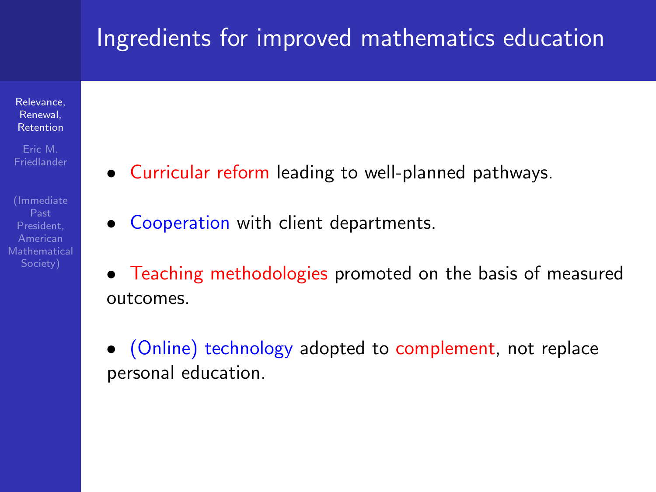## Ingredients for improved mathematics education

[Relevance,](#page-0-0) Renewal, Retention

Eric M.

Past

- Curricular reform leading to well-planned pathways.
- Cooperation with client departments.
- Teaching methodologies promoted on the basis of measured outcomes.
- (Online) technology adopted to complement, not replace personal education.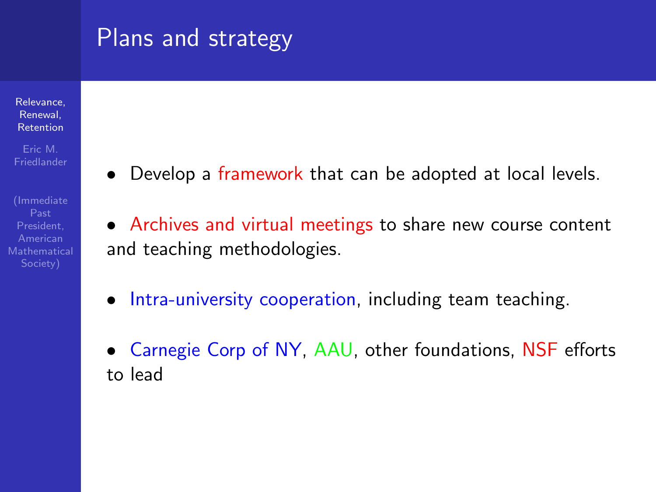## Plans and strategy

[Relevance,](#page-0-0) Renewal, Retention

Eric M. **Friedlander** 

Mathematical

• Develop a framework that can be adopted at local levels.

• Archives and virtual meetings to share new course content and teaching methodologies.

- Intra-university cooperation, including team teaching.
- Carnegie Corp of NY, AAU, other foundations, NSF efforts to lead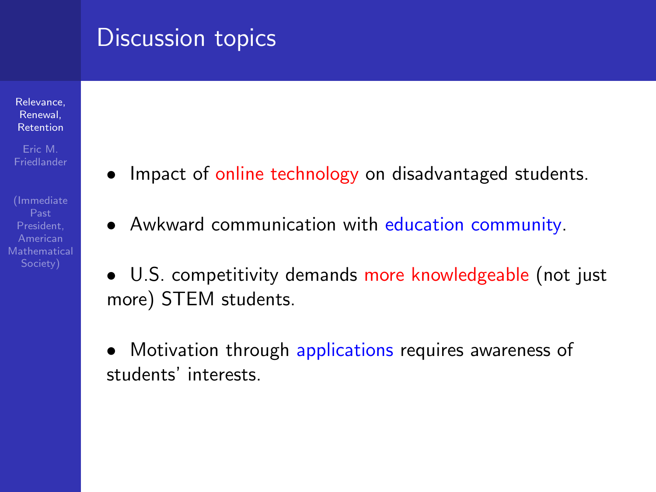#### Discussion topics

[Relevance,](#page-0-0) Renewal, Retention

Eric M.

- Impact of online technology on disadvantaged students.
- Awkward communication with education community.
- U.S. competitivity demands more knowledgeable (not just more) STEM students.
- Motivation through applications requires awareness of students' interests.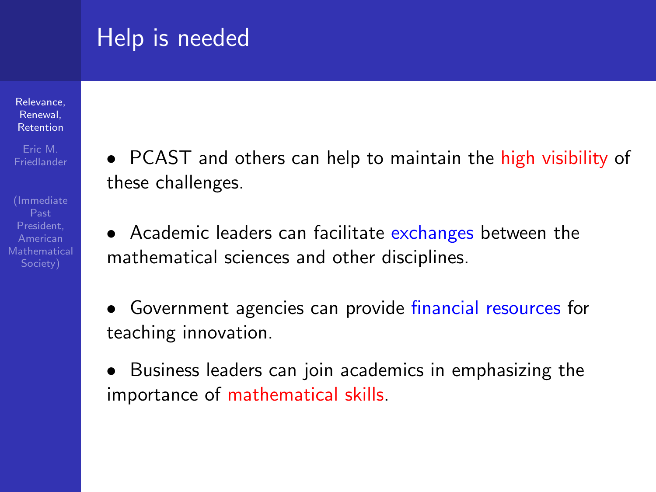# Help is needed

[Relevance,](#page-0-0) Renewal, Retention

Eric M.

(Immediate Past **Mathematical**  • PCAST and others can help to maintain the high visibility of these challenges.

• Academic leaders can facilitate exchanges between the mathematical sciences and other disciplines.

• Government agencies can provide financial resources for teaching innovation.

• Business leaders can join academics in emphasizing the importance of mathematical skills.